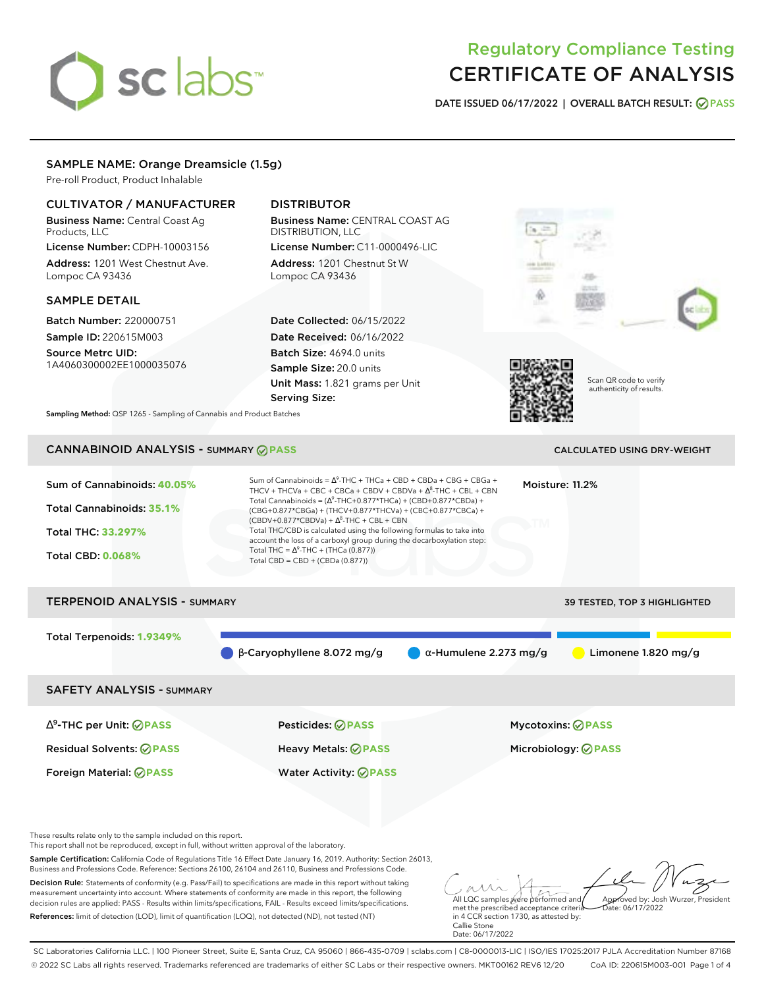# sclabs<sup>\*</sup>

# Regulatory Compliance Testing CERTIFICATE OF ANALYSIS

**DATE ISSUED 06/17/2022 | OVERALL BATCH RESULT: PASS**

# SAMPLE NAME: Orange Dreamsicle (1.5g)

Pre-roll Product, Product Inhalable

# CULTIVATOR / MANUFACTURER

Business Name: Central Coast Ag Products, LLC License Number: CDPH-10003156

Address: 1201 West Chestnut Ave. Lompoc CA 93436

# SAMPLE DETAIL

Batch Number: 220000751 Sample ID: 220615M003 Source Metrc UID:

1A4060300002EE1000035076

# DISTRIBUTOR

Business Name: CENTRAL COAST AG DISTRIBUTION, LLC License Number: C11-0000496-LIC

Address: 1201 Chestnut St W Lompoc CA 93436

Date Collected: 06/15/2022 Date Received: 06/16/2022 Batch Size: 4694.0 units Sample Size: 20.0 units Unit Mass: 1.821 grams per Unit Serving Size:





Scan QR code to verify authenticity of results.

**Sampling Method:** QSP 1265 - Sampling of Cannabis and Product Batches

# CANNABINOID ANALYSIS - SUMMARY **PASS** CALCULATED USING DRY-WEIGHT

| Sum of Cannabinoids: 40.05%<br><b>Total Cannabinoids: 35.1%</b><br>Total THC: 33.297%<br><b>Total CBD: 0.068%</b> | Sum of Cannabinoids = $\Delta^9$ -THC + THCa + CBD + CBDa + CBG + CBGa +<br>THCV + THCVa + CBC + CBCa + CBDV + CBDVa + $\Delta^8$ -THC + CBL + CBN<br>Total Cannabinoids = $(\Delta^9$ -THC+0.877*THCa) + (CBD+0.877*CBDa) +<br>(CBG+0.877*CBGa) + (THCV+0.877*THCVa) + (CBC+0.877*CBCa) +<br>$(CBDV+0.877*CBDVa) + \Delta^8$ -THC + CBL + CBN<br>Total THC/CBD is calculated using the following formulas to take into<br>account the loss of a carboxyl group during the decarboxylation step:<br>Total THC = $\Delta^9$ -THC + (THCa (0.877))<br>Total CBD = $CBD + (CBDa (0.877))$ |                               | Moisture: 11.2%              |
|-------------------------------------------------------------------------------------------------------------------|----------------------------------------------------------------------------------------------------------------------------------------------------------------------------------------------------------------------------------------------------------------------------------------------------------------------------------------------------------------------------------------------------------------------------------------------------------------------------------------------------------------------------------------------------------------------------------------|-------------------------------|------------------------------|
| <b>TERPENOID ANALYSIS - SUMMARY</b>                                                                               |                                                                                                                                                                                                                                                                                                                                                                                                                                                                                                                                                                                        |                               | 39 TESTED, TOP 3 HIGHLIGHTED |
| Total Terpenoids: 1.9349%                                                                                         | $\beta$ -Caryophyllene 8.072 mg/g                                                                                                                                                                                                                                                                                                                                                                                                                                                                                                                                                      | $\alpha$ -Humulene 2.273 mg/g | Limonene $1.820$ mg/g        |
| <b>SAFETY ANALYSIS - SUMMARY</b>                                                                                  |                                                                                                                                                                                                                                                                                                                                                                                                                                                                                                                                                                                        |                               |                              |
| $\Delta^9$ -THC per Unit: $\bigcirc$ PASS                                                                         | Pesticides: ⊘PASS                                                                                                                                                                                                                                                                                                                                                                                                                                                                                                                                                                      |                               | <b>Mycotoxins: ⊘PASS</b>     |
| <b>Residual Solvents: ⊘PASS</b>                                                                                   | <b>Heavy Metals: ⊘ PASS</b>                                                                                                                                                                                                                                                                                                                                                                                                                                                                                                                                                            |                               | Microbiology: <b>⊘PASS</b>   |
| Foreign Material: <b>⊘ PASS</b>                                                                                   | <b>Water Activity: ⊘PASS</b>                                                                                                                                                                                                                                                                                                                                                                                                                                                                                                                                                           |                               |                              |

These results relate only to the sample included on this report.

This report shall not be reproduced, except in full, without written approval of the laboratory.

Sample Certification: California Code of Regulations Title 16 Effect Date January 16, 2019. Authority: Section 26013, Business and Professions Code. Reference: Sections 26100, 26104 and 26110, Business and Professions Code.

Decision Rule: Statements of conformity (e.g. Pass/Fail) to specifications are made in this report without taking measurement uncertainty into account. Where statements of conformity are made in this report, the following decision rules are applied: PASS - Results within limits/specifications, FAIL - Results exceed limits/specifications. References: limit of detection (LOD), limit of quantification (LOQ), not detected (ND), not tested (NT)

All LQC samples were performed and met the prescribed acceptance criteria Approved by: Josh Wurzer, President Date: 06/17/2022

in 4 CCR section 1730, as attested by: Callie Stone Date: 06/17/2022

SC Laboratories California LLC. | 100 Pioneer Street, Suite E, Santa Cruz, CA 95060 | 866-435-0709 | sclabs.com | C8-0000013-LIC | ISO/IES 17025:2017 PJLA Accreditation Number 87168 © 2022 SC Labs all rights reserved. Trademarks referenced are trademarks of either SC Labs or their respective owners. MKT00162 REV6 12/20 CoA ID: 220615M003-001 Page 1 of 4